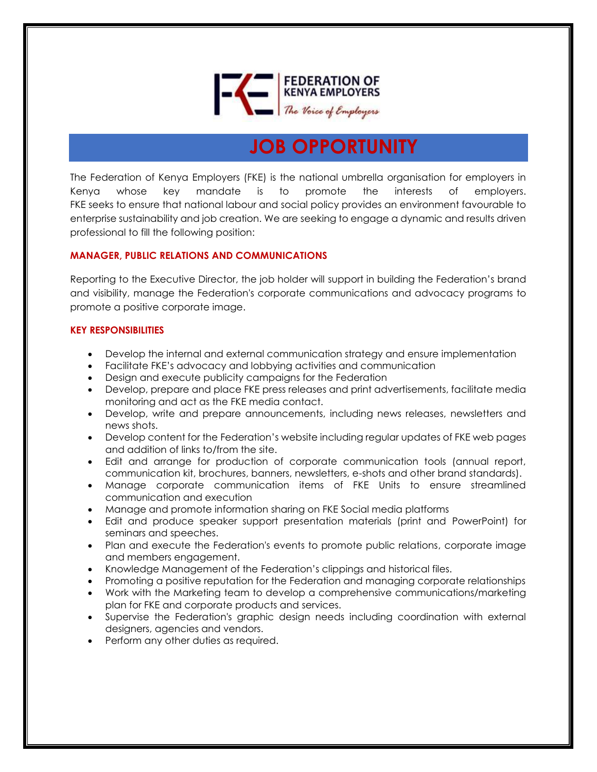

# **JOB OPPORTUNITY**

The Federation of Kenya Employers (FKE) is the national umbrella organisation for employers in Kenya whose key mandate is to promote the interests of employers. FKE seeks to ensure that national labour and social policy provides an environment favourable to enterprise sustainability and job creation. We are seeking to engage a dynamic and results driven professional to fill the following position:

## **MANAGER, PUBLIC RELATIONS AND COMMUNICATIONS**

Reporting to the Executive Director, the job holder will support in building the Federation's brand and visibility, manage the Federation's corporate communications and advocacy programs to promote a positive corporate image.

#### **KEY RESPONSIBILITIES**

- Develop the internal and external communication strategy and ensure implementation
- Facilitate FKE's advocacy and lobbying activities and communication
- Design and execute publicity campaigns for the Federation
- Develop, prepare and place FKE press releases and print advertisements, facilitate media monitoring and act as the FKE media contact.
- Develop, write and prepare announcements, including news releases, newsletters and news shots.
- Develop content for the Federation's website including regular updates of FKE web pages and addition of links to/from the site.
- Edit and arrange for production of corporate communication tools (annual report, communication kit, brochures, banners, newsletters, e-shots and other brand standards).
- Manage corporate communication items of FKE Units to ensure streamlined communication and execution
- Manage and promote information sharing on FKE Social media platforms
- Edit and produce speaker support presentation materials (print and PowerPoint) for seminars and speeches.
- Plan and execute the Federation's events to promote public relations, corporate image and members engagement.
- Knowledge Management of the Federation's clippings and historical files.
- Promoting a positive reputation for the Federation and managing corporate relationships
- Work with the Marketing team to develop a comprehensive communications/marketing plan for FKE and corporate products and services.
- Supervise the Federation's graphic design needs including coordination with external designers, agencies and vendors.
- Perform any other duties as required.